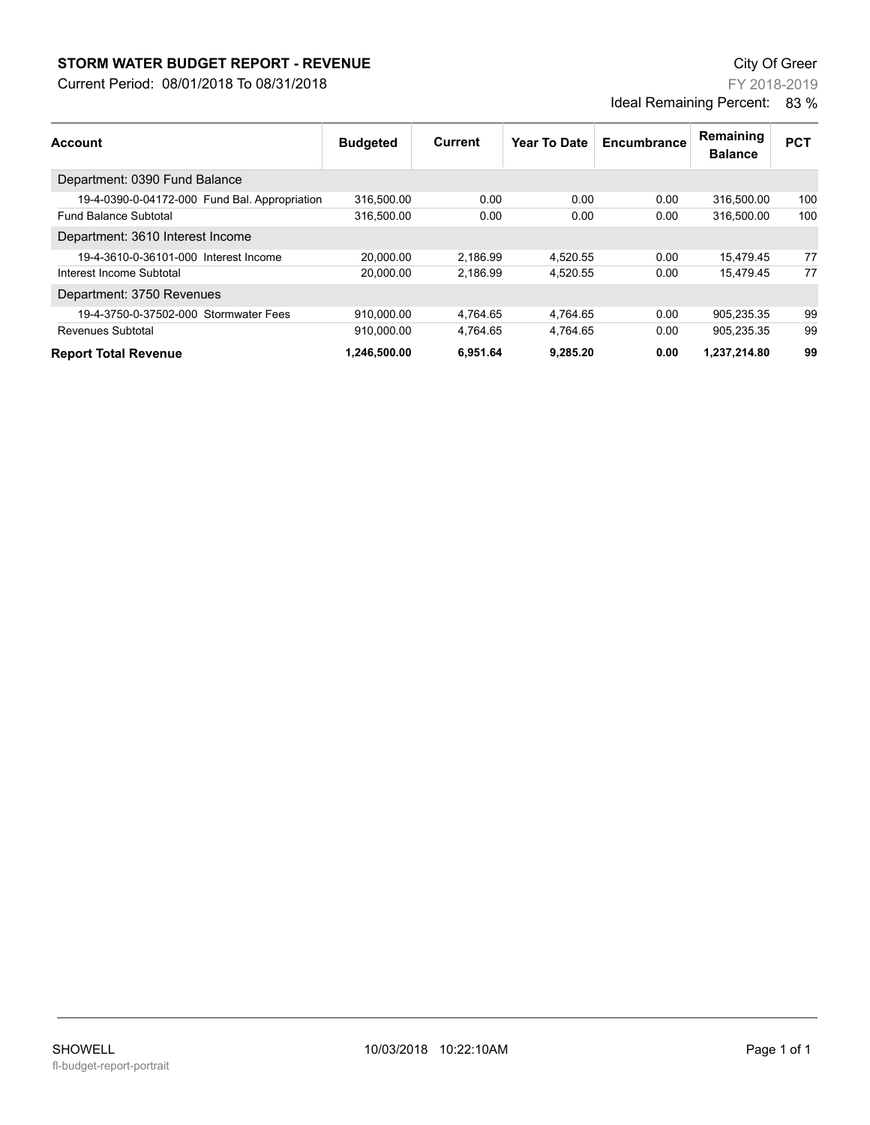## **STORM WATER BUDGET REPORT - REVENUE CONSUMPTER BUDGET REPORT - REVENUE**

Current Period: 08/01/2018 To 08/31/2018

FY 2018-2019 Ideal Remaining Percent: 83 %

| Account                                       | <b>Budgeted</b> | Current  | Year To Date | Encumbrance | Remaining<br><b>Balance</b> | <b>PCT</b> |
|-----------------------------------------------|-----------------|----------|--------------|-------------|-----------------------------|------------|
| Department: 0390 Fund Balance                 |                 |          |              |             |                             |            |
| 19-4-0390-0-04172-000 Fund Bal. Appropriation | 316.500.00      | 0.00     | 0.00         | 0.00        | 316.500.00                  | 100        |
| <b>Fund Balance Subtotal</b>                  | 316,500.00      | 0.00     | 0.00         | 0.00        | 316.500.00                  | 100        |
| Department: 3610 Interest Income              |                 |          |              |             |                             |            |
| 19-4-3610-0-36101-000 Interest Income         | 20,000.00       | 2,186.99 | 4,520.55     | 0.00        | 15,479.45                   | 77         |
| Interest Income Subtotal                      | 20.000.00       | 2.186.99 | 4,520.55     | 0.00        | 15.479.45                   | 77         |
| Department: 3750 Revenues                     |                 |          |              |             |                             |            |
| 19-4-3750-0-37502-000 Stormwater Fees         | 910,000.00      | 4,764.65 | 4,764.65     | 0.00        | 905,235.35                  | 99         |
| Revenues Subtotal                             | 910.000.00      | 4.764.65 | 4.764.65     | 0.00        | 905.235.35                  | 99         |
| <b>Report Total Revenue</b>                   | 1.246.500.00    | 6.951.64 | 9.285.20     | 0.00        | 1,237,214.80                | 99         |